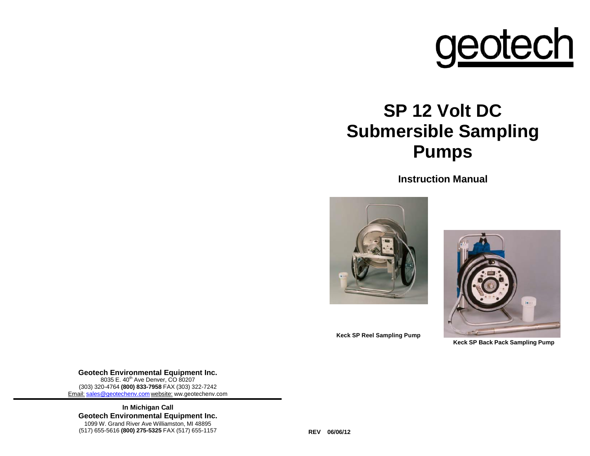

# **SP 12 Volt DC Submersible Sampling Pumps**

**Instruction Manual**



**Keck SP Back Pack Sampling Pump**

**Keck SP Reel Sampling Pump**

**Geotech Environmental Equipment Inc.** 8035 E. 40<sup>th</sup> Ave Denver, CO 80207 (303) 320-4764 **(800) 833-7958** FAX (303) 322-7242 Email: [sales@geotechenv.com](mailto:sales@geotechenv.com) website: ww.geotechenv.com

**In Michigan Call Geotech Environmental Equipment Inc.** 1099 W. Grand River Ave Williamston, MI 48895 (517) 655-5616 **(800) 275-5325** FAX (517) 655-1157 **REV 06/06/12**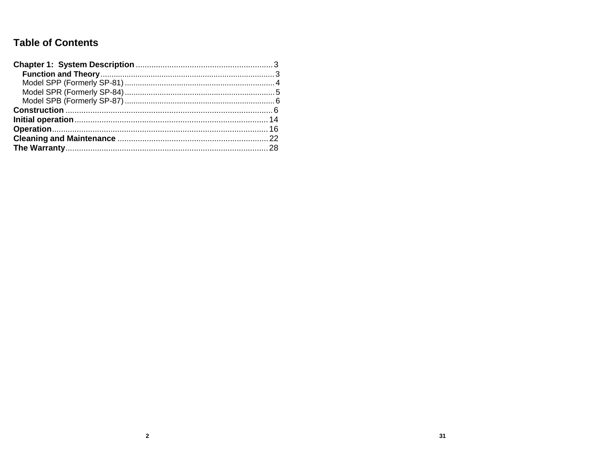# **Table of Contents**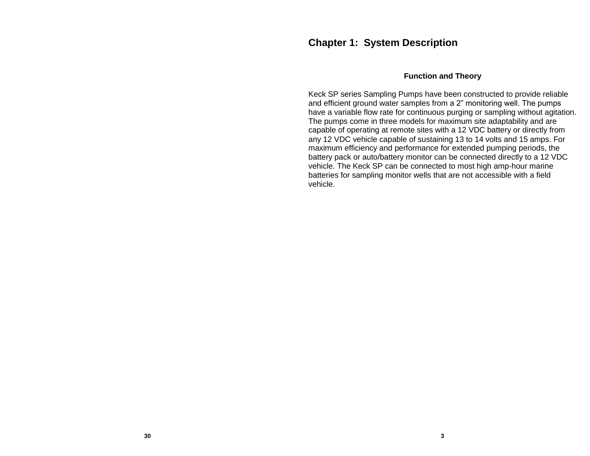# **Chapter 1: System Description**

#### **Function and Theory**

Keck SP series Sampling Pumps have been constructed to provide reliable and efficient ground water samples from a 2" monitoring well. The pumps have a variable flow rate for continuous purging or sampling without agitation. The pumps come in three models for maximum site adaptability and are capable of operating at remote sites with a 12 VDC battery or directly from any 12 VDC vehicle capable of sustaining 13 to 14 volts and 15 amps. For maximum efficiency and performance for extended pumping periods, the battery pack or auto/battery monitor can be connected directly to a 12 VDC vehicle. The Keck SP can be connected to most high amp-hour marine batteries for sampling monitor wells that are not accessible with a field vehicle.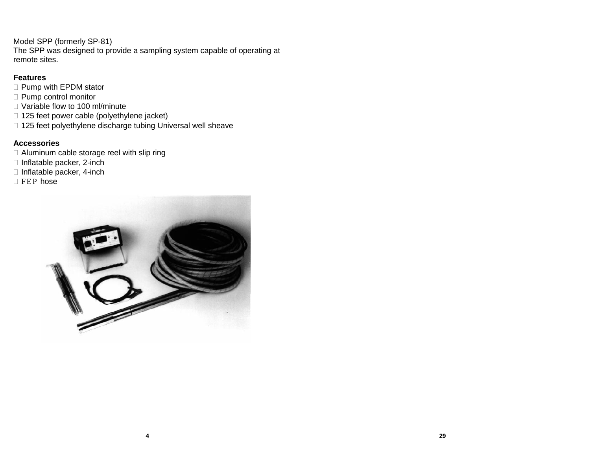Model SPP (formerly SP-81) The SPP was designed to provide a sampling system capable of operating at remote sites.

# **Features**

- □ Pump with EPDM stator
- □ Pump control monitor
- □ Variable flow to 100 ml/minute
- □ 125 feet power cable (polyethylene jacket)
- □ 125 feet polyethylene discharge tubing Universal well sheave

# **Accessories**

- □ Aluminum cable storage reel with slip ring
- $\Box$  Inflatable packer, 2-inch
- $\Box$  Inflatable packer, 4-inch
- $E$  FEP hose

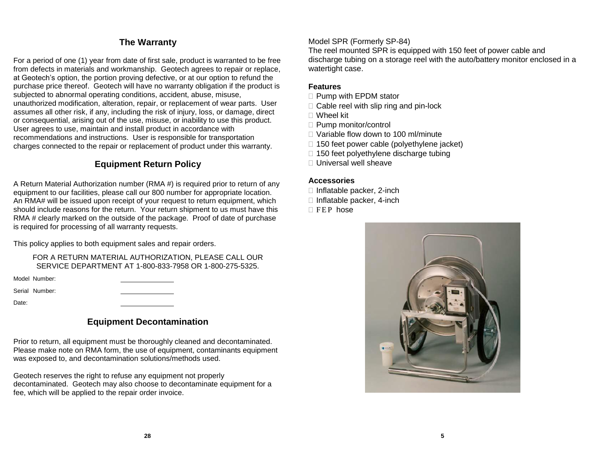# **The Warranty**

For a period of one (1) year from date of first sale, product is warranted to be free from defects in materials and workmanship. Geotech agrees to repair or replace, at Geotech's option, the portion proving defective, or at our option to refund the purchase price thereof. Geotech will have no warranty obligation if the product is subjected to abnormal operating conditions, accident, abuse, misuse, unauthorized modification, alteration, repair, or replacement of wear parts. User assumes all other risk, if any, including the risk of injury, loss, or damage, direct or consequential, arising out of the use, misuse, or inability to use this product. User agrees to use, maintain and install product in accordance with recommendations and instructions. User is responsible for transportation charges connected to the repair or replacement of product under this warranty.

# **Equipment Return Policy**

A Return Material Authorization number (RMA #) is required prior to return of any equipment to our facilities, please call our 800 number for appropriate location. An RMA# will be issued upon receipt of your request to return equipment, which should include reasons for the return. Your return shipment to us must have this RMA # clearly marked on the outside of the package. Proof of date of purchase is required for processing of all warranty requests.

This policy applies to both equipment sales and repair orders.

FOR A RETURN MATERIAL AUTHORIZATION, PLEASE CALL OUR SERVICE DEPARTMENT AT 1-800-833-7958 OR 1-800-275-5325.

Model Number:

Serial Number:

Date:

# **Equipment Decontamination**

Prior to return, all equipment must be thoroughly cleaned and decontaminated. Please make note on RMA form, the use of equipment, contaminants equipment was exposed to, and decontamination solutions/methods used.

Geotech reserves the right to refuse any equipment not properly decontaminated. Geotech may also choose to decontaminate equipment for a fee, which will be applied to the repair order invoice.

#### Model SPR (Formerly SP-84)

The reel mounted SPR is equipped with 150 feet of power cable and discharge tubing on a storage reel with the auto/battery monitor enclosed in a watertight case.

#### **Features**

- $\Box$  Pump with EPDM stator
- $\Box$  Cable reel with slip ring and pin-lock
- Wheel kit
- □ Pump monitor/control
- □ Variable flow down to 100 ml/minute
- $\Box$  150 feet power cable (polyethylene jacket)
- $\Box$  150 feet polyethylene discharge tubing
- □ Universal well sheave

#### **Accessories**

- $\Box$  Inflatable packer, 2-inch
- $\Box$  Inflatable packer, 4-inch
- $\Box$  FEP hose

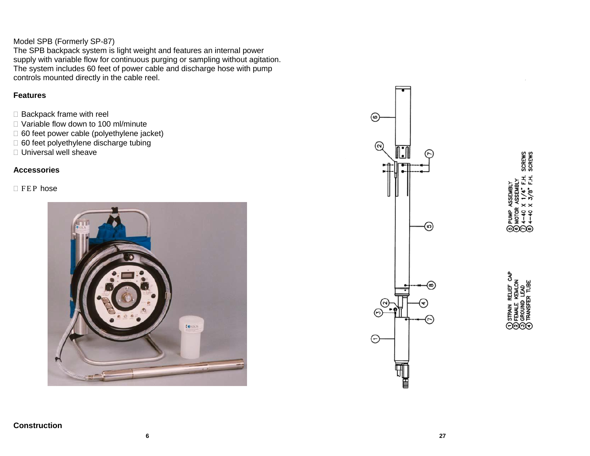# Model SPB (Formerly SP-87)

The SPB backpack system is light weight and features an internal power supply with variable flow for continuous purging or sampling without agitation. The system includes 60 feet of power cable and discharge hose with pump controls mounted directly in the cable reel.

#### **Features**

- $\Box$  Backpack frame with reel
- □ Variable flow down to 100 ml/minute
- □ 60 feet power cable (polyethylene jacket)
- □ 60 feet polyethylene discharge tubing
- □ Universal well sheave

# **Accessories**

#### $\Box$  FEP hose





SCREWS<br>SCREWS **EMBL ASSEMBLY @@@** 

STRAIN RELIEF CAP KEMLON<br>LEAD TRANSFER TUBE ⊝ନନ୍ତ

# **Construction**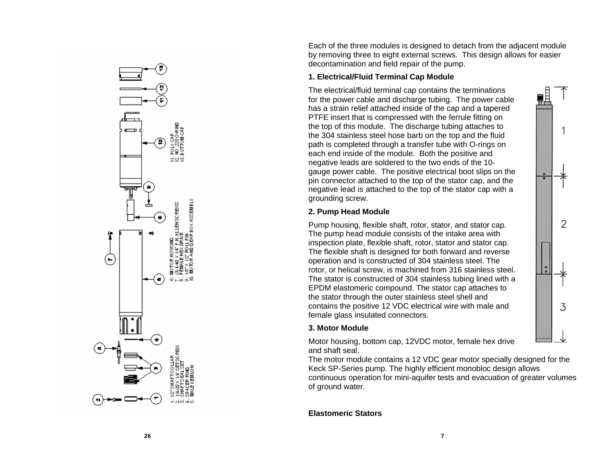Each of the three modules is designed to detach from the adjacent module by removing three to eight external screws. This design allows for easier decontamin ation and field repair of the pump.

#### **1. Electrical/Fluid Terminal Cap M odule**

The electrical/fluid termi nal cap contains the terminations for the power cable and discharge tubing. The power cable has a strain relief attached inside of t he cap and a tape red PTFE insert that is compressed with t he ferrule fitting on the top of this module. The discharge tubing attaches to the 304 stainless steel hose barb on t he top and the fluid path is com pleted throu g h a transfer t ube with O -ri ngs on each end inside of the module. Both the positive and negative leads are soldered to the two ends of the 10gau ge po wer cable. The positi ve electrical boot sli ps on the pin connector attached to the top of the stator cap, and the negative le ad is attached to the top of the stator c ap with a gro unding screw.

# **2. Pump Head Module**

Pump housing, flexible shaft, rotor, stator, and stator cap. The pump head module consists of t he intake area with inspection plate, flexible shaft, rotor, stator and stator cap. The flexible shaft is designed for both forward and reverse ope ration a nd is constructed of 304 stainless steel. The rotor, or helical screw, is machined from 316 stainless steel. The stator is constructed of 304 stainless tubing li ned with a EPDM elast omeric compound. The stator cap attaches to the stator through the outer stainless steel shell and contains the positi ve 12 VDC electrical wire with male and female glass insulated connectors.

# **3. Motor M odule**

Motor housi ng, bottom c ap, 12VDC motor, female hex drive and shaft s eal.

The motor module contains a 12 VDC gear motor specially designed for the Keck SP -Series pump. The highly efficient monobl o c design allows continuous operation for mini -aquifer tests and evacuation of greater volum es of ground water.

**7**

# **Elastomeric Stators**

**26**

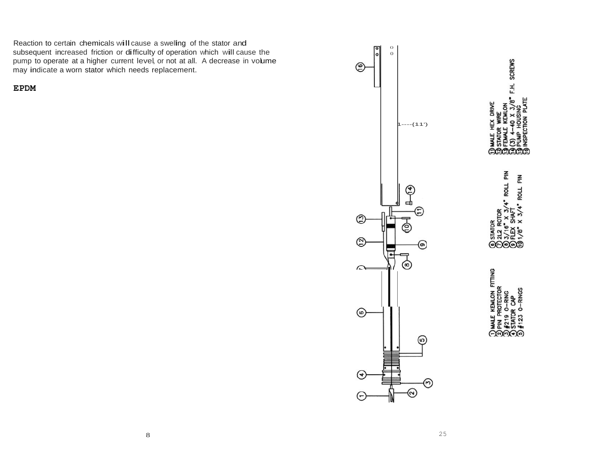Reaction to certain chemicals will cause <sup>a</sup> swelling of the stator and subsequent increased friction or difficulty of operation which will cause the pump to operate at a higher current level, or not at all. A decrease in volume may indicate a worn stator which needs replacement.

**EPDM**



(コミクラインタ) ROLL PIN 좀<br> **ROLL AOLY @@@@@** 

F.H. SCREWS

DRIVE

**FITTING** KEMLON  $\Theta$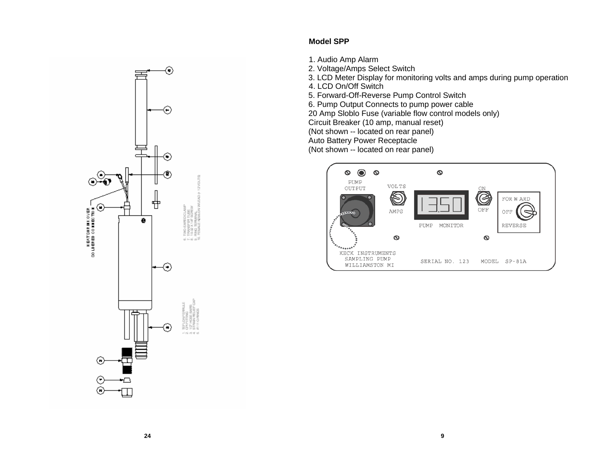

# **Model SPP**

- 1. Audio Amp Alarm
- 2. Voltage/Amps Select Switch
- 3. LCD Meter Display for monitoring volts and amps during pump operation
- 4. LCD On/Off Switch
- 5. Forward-Off-Reverse Pump Control Switch
- 6. Pump Output Connects to pump power cable

20 Amp Sloblo Fuse (variable flow control models only)

Circuit Breaker (10 amp, manual reset)

(Not shown -- located on rear panel)

Auto Battery Power Receptacle

(Not shown -- located on rear panel)

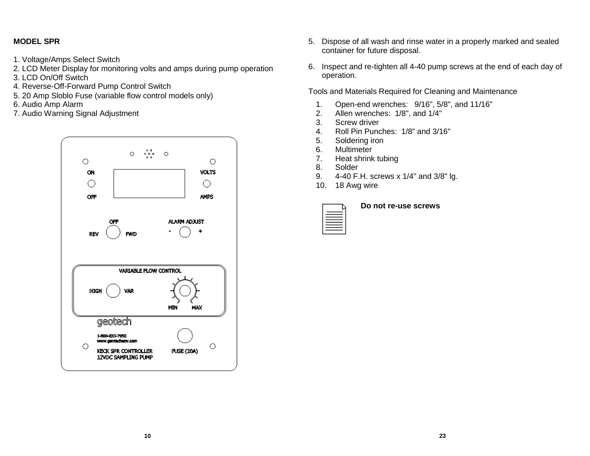# **MODEL SPR**

- 1. Voltage/Amps Select Switch
- 2. LCD Meter Display for monitoring volts and amps during pump operation
- 3. LCD On/Off Switch
- 4. Reverse-Off-Forward Pump Control Switch
- 5. 20 Amp Sloblo Fuse (variable flow control models only)
- 
- 7. Audio Warning Signal Adjustment 2.



- 5. Dispose of all wash and rinse water in a properly marked and sealed container for future disposal.
- 6. Inspect and re-tighten all 4-40 pump screws at the end of each day of operation.

Tools and Materials Required for Cleaning and Maintenance

- 6. Audio Amp Alarm **1.** Open-end wrenches: 9/16", 5/8", and 11/16" <br>
1. Open-end wrenches: 9/16", 5/8", and 11/16"<br>
2. Allen wrenches: 1/8", and 1/4"
	-
	- 3. Screw driver
	- 4. Roll Pin Punches: 1/8" and 3/16"
	- 5. Soldering iron
	- 6. Multimeter
	- 7. Heat shrink tubing
	- 8. Solder
	- 9. 4-40 F.H. screws x 1/4" and 3/8" lg.
	- 10. 18 Awg wire

| __<br>__           |  |
|--------------------|--|
| ___<br>_____<br>__ |  |
|                    |  |

#### **Do not re-use screws**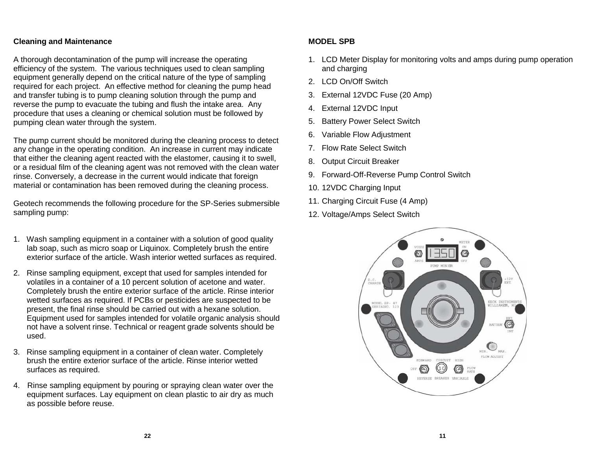#### **Cleaning and Maintenance**

A thorough decontamination of the pump will increase the operating efficiency of the system. The various techniques used to clean sampling equipment generally depend on the critical nature of the type of sampling required for each project. An effective method for cleaning the pump head and transfer tubing is to pump cleaning solution through the pump and reverse the pump to evacuate the tubing and flush the intake area. Any procedure that uses a cleaning or chemical solution must be followed by pumping clean water through the system.

The pump current should be monitored during the cleaning process to detect any change in the operating condition. An increase in current may indicate that either the cleaning agent reacted with the elastomer, causing it to swell, or a residual film of the cleaning agent was not removed with the clean water rinse. Conversely, a decrease in the current would indicate that foreign material or contamination has been removed during the cleaning process.

Geotech recommends the following procedure for the SP-Series submersible sampling pump:

- 1. Wash sampling equipment in a container with a solution of good quality lab soap, such as micro soap or Liquinox. Completely brush the entire exterior surface of the article. Wash interior wetted surfaces as required.
- 2. Rinse sampling equipment, except that used for samples intended for volatiles in a container of a 10 percent solution of acetone and water. Completely brush the entire exterior surface of the article. Rinse interior wetted surfaces as required. If PCBs or pesticides are suspected to be present, the final rinse should be carried out with a hexane solution. Equipment used for samples intended for volatile organic analysis should not have a solvent rinse. Technical or reagent grade solvents should be used.
- 3. Rinse sampling equipment in a container of clean water. Completely brush the entire exterior surface of the article. Rinse interior wetted surfaces as required.
- 4. Rinse sampling equipment by pouring or spraying clean water over the equipment surfaces. Lay equipment on clean plastic to air dry as much as possible before reuse.

#### **MODEL SPB**

- 1. LCD Meter Display for monitoring volts and amps during pump operation and charging
- 2. LCD On/Off Switch
- 3. External 12VDC Fuse (20 Amp)
- 4. External 12VDC Input
- 5. Battery Power Select Switch
- 6. Variable Flow Adjustment
- 7. Flow Rate Select Switch
- 8. Output Circuit Breaker
- 9. Forward-Off-Reverse Pump Control Switch
- 10. 12VDC Charging Input
- 11. Charging Circuit Fuse (4 Amp)
- 12. Voltage/Amps Select Switch

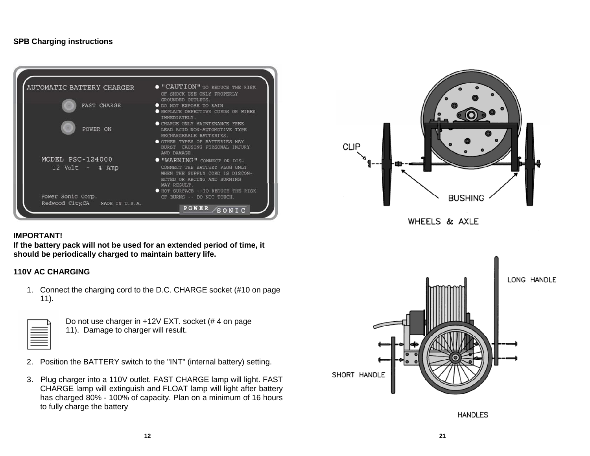#### **SPB Charging instructions**



# CLIP **BUSHING** WHEELS & AXLE

#### **IMPORTANT!**

**If the battery pack will not be used for an extended period of time, it should be periodically charged to maintain battery life.**

#### **110V AC CHARGING**

1. Connect the charging cord to the D.C. CHARGE socket (#10 on page 11).



Do not use charger in +12V EXT. socket (# 4 on page 11). Damage to charger will result.

- 2. Position the BATTERY switch to the "INT" (internal battery) setting.
- 3. Plug charger into a 110V outlet. FAST CHARGE lamp will light. FAST CHARGE lamp will extinguish and FLOAT lamp will light after battery has charged 80% - 100% of capacity. Plan on a minimum of 16 hours to fully charge the battery



**HANDLES**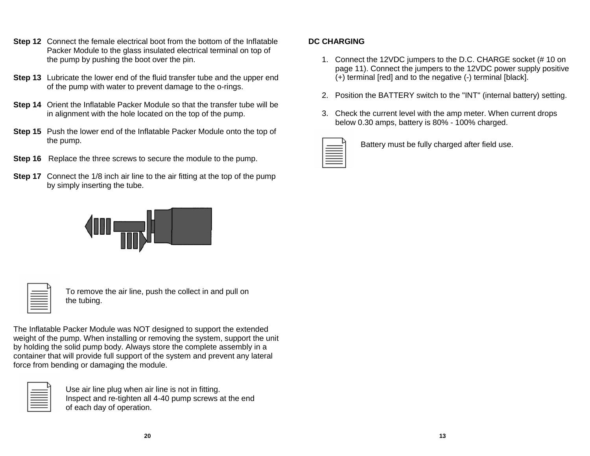- **Step 12** Connect the female electrical boot from the bottom of the Inflatable Packer Module to the glass insulated electrical terminal on top of the pump by pushing the boot over the pin.
- **Step 13** Lubricate the lower end of the fluid transfer tube and the upper end of the pump with water to prevent damage to the o-rings.
- **Step 14** Orient the Inflatable Packer Module so that the transfer tube will be in alignment with the hole located on the top of the pump.
- **Step 15** Push the lower end of the Inflatable Packer Module onto the top of the pump.
- **Step 16** Replace the three screws to secure the module to the pump.
- **Step 17** Connect the 1/8 inch air line to the air fitting at the top of the pump by simply inserting the tube.



To remove the air line, push the collect in and pull on the tubing.

The Inflatable Packer Module was NOT designed to support the extended weight of the pump. When installing or removing the system, support the unit by holding the solid pump body. Always store the complete assembly in a container that will provide full support of the system and prevent any lateral force from bending or damaging the module.



Use air line plug when air line is not in fitting. Inspect and re-tighten all 4-40 pump screws at the end of each day of operation.

# **DC CHARGING**

- 1. Connect the 12VDC jumpers to the D.C. CHARGE socket (# 10 on page 11). Connect the jumpers to the 12VDC power supply positive (+) terminal [red] and to the negative (-) terminal [black].
- 2. Position the BATTERY switch to the "INT" (internal battery) setting.
- 3. Check the current level with the amp meter. When current drops below 0.30 amps, battery is 80% - 100% charged.

Battery must be fully charged after field use.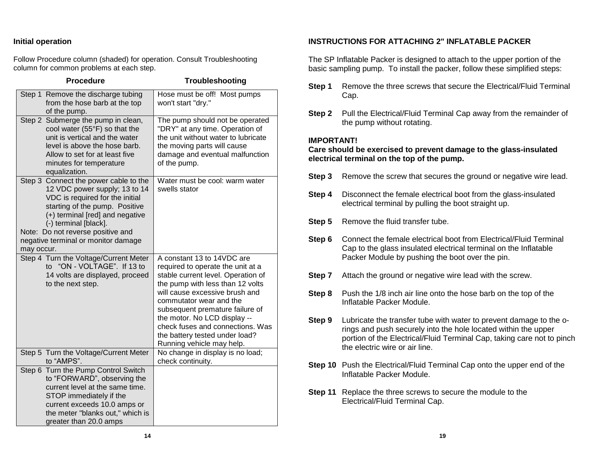#### **Initial operation**

Follow Procedure column (shaded) for operation. Consult Troubleshooting column for common problems at each step.

| <b>Procedure</b>                                                                                                                                                                                                                                                                                  | Troubleshooting                                                                                                                                                                                                                                                                                                                                                              |
|---------------------------------------------------------------------------------------------------------------------------------------------------------------------------------------------------------------------------------------------------------------------------------------------------|------------------------------------------------------------------------------------------------------------------------------------------------------------------------------------------------------------------------------------------------------------------------------------------------------------------------------------------------------------------------------|
| Step 1 Remove the discharge tubing<br>from the hose barb at the top<br>of the pump.                                                                                                                                                                                                               | Hose must be off! Most pumps<br>won't start "dry."                                                                                                                                                                                                                                                                                                                           |
| Step 2 Submerge the pump in clean,<br>cool water (55°F) so that the<br>unit is vertical and the water<br>level is above the hose barb.<br>Allow to set for at least five<br>minutes for temperature<br>equalization.                                                                              | The pump should not be operated<br>"DRY" at any time. Operation of<br>the unit without water to lubricate<br>the moving parts will cause<br>damage and eventual malfunction<br>of the pump.                                                                                                                                                                                  |
| Step 3 Connect the power cable to the<br>12 VDC power supply; 13 to 14<br>VDC is required for the initial<br>starting of the pump. Positive<br>(+) terminal [red] and negative<br>(-) terminal [black].<br>Note: Do not reverse positive and<br>negative terminal or monitor damage<br>may occur. | Water must be cool: warm water<br>swells stator                                                                                                                                                                                                                                                                                                                              |
| Step 4 Turn the Voltage/Current Meter<br>to "ON - VOLTAGE". If 13 to<br>14 volts are displayed, proceed<br>to the next step.                                                                                                                                                                      | A constant 13 to 14VDC are<br>required to operate the unit at a<br>stable current level. Operation of<br>the pump with less than 12 volts<br>will cause excessive brush and<br>commutator wear and the<br>subsequent premature failure of<br>the motor. No LCD display --<br>check fuses and connections. Was<br>the battery tested under load?<br>Running vehicle may help. |
| Step 5 Turn the Voltage/Current Meter<br>to "AMPS".                                                                                                                                                                                                                                               | No change in display is no load;<br>check continuity.                                                                                                                                                                                                                                                                                                                        |
| Step 6 Turn the Pump Control Switch<br>to "FORWARD", observing the<br>current level at the same time.<br>STOP immediately if the<br>current exceeds 10.0 amps or<br>the meter "blanks out," which is<br>greater than 20.0 amps                                                                    |                                                                                                                                                                                                                                                                                                                                                                              |

#### **INSTRUCTIONS FOR ATTACHING 2" INFLATABLE PACKER**

The SP Inflatable Packer is designed to attach to the upper portion of the basic sampling pump. To install the packer, follow these simplified steps:

- **Step 1** Remove the three screws that secure the Electrical/Fluid Terminal Cap.
- **Step 2** Pull the Electrical/Fluid Terminal Cap away from the remainder of the pump without rotating.

#### **IMPORTANT!**

**Care should be exercised to prevent damage to the glass-insulated electrical terminal on the top of the pump.**

- **Step 3** Remove the screw that secures the ground or negative wire lead.
- **Step 4** Disconnect the female electrical boot from the glass-insulated electrical terminal by pulling the boot straight up.
- **Step 5** Remove the fluid transfer tube.
- **Step 6** Connect the female electrical boot from Electrical/Fluid Terminal Cap to the glass insulated electrical terminal on the Inflatable Packer Module by pushing the boot over the pin.
- **Step 7** Attach the ground or negative wire lead with the screw.
- **Step 8** Push the 1/8 inch air line onto the hose barb on the top of the Inflatable Packer Module.
- **Step 9** Lubricate the transfer tube with water to prevent damage to the orings and push securely into the hole located within the upper portion of the Electrical/Fluid Terminal Cap, taking care not to pinch the electric wire or air line.
- **Step 10** Push the Electrical/Fluid Terminal Cap onto the upper end of the Inflatable Packer Module.
- **Step 11** Replace the three screws to secure the module to the Electrical/Fluid Terminal Cap.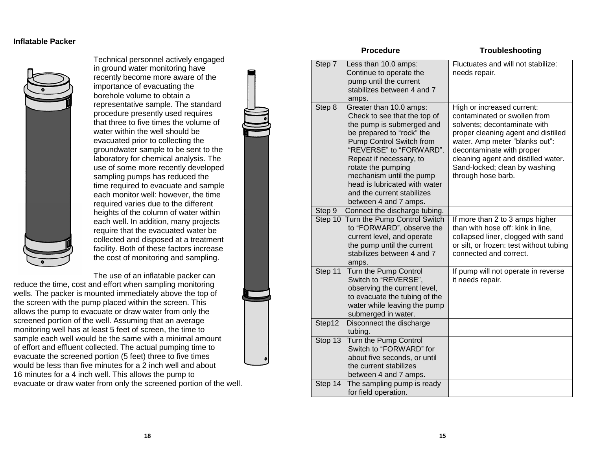#### **Inflatable Packer**



Technical personnel actively engaged in ground water monitoring have recently become more aware of the importance of evacuating the borehole volume to obtain a representative sample. The standard procedure presently used requires that three to five times the volume of water within the well should be evacuated prior to collecting the groundwater sample to be sent to the laboratory for chemical analysis. The use of some more recently developed sampling pumps has reduced the time required to evacuate and sample each monitor well: however, the time required varies due to the different heights of the column of water within each well. In addition, many projects require that the evacuated water be collected and disposed at a treatment facility. Both of these factors increase the cost of monitoring and sampling.

The use of an inflatable packer can

reduce the time, cost and effort when sampling monitoring wells. The packer is mounted immediately above the top of the screen with the pump placed within the screen. This allows the pump to evacuate or draw water from only the screened portion of the well. Assuming that an average monitoring well has at least 5 feet of screen, the time to sample each well would be the same with a minimal amount of effort and effluent collected. The actual pumping time to evacuate the screened portion (5 feet) three to five times would be less than five minutes for a 2 inch well and about 16 minutes for a 4 inch well. This allows the pump to evacuate or draw water from only the screened portion of the well.

|         | <b>Procedure</b>                                                                                                                                                                                                                                                                                                                              | Troubleshooting                                                                                                                                                                                                                                                                                |
|---------|-----------------------------------------------------------------------------------------------------------------------------------------------------------------------------------------------------------------------------------------------------------------------------------------------------------------------------------------------|------------------------------------------------------------------------------------------------------------------------------------------------------------------------------------------------------------------------------------------------------------------------------------------------|
| Step 7  | Less than 10.0 amps:<br>Continue to operate the<br>pump until the current<br>stabilizes between 4 and 7<br>amps.                                                                                                                                                                                                                              | Fluctuates and will not stabilize:<br>needs repair.                                                                                                                                                                                                                                            |
| Step 8  | Greater than 10.0 amps:<br>Check to see that the top of<br>the pump is submerged and<br>be prepared to "rock" the<br>Pump Control Switch from<br>"REVERSE" to "FORWARD".<br>Repeat if necessary, to<br>rotate the pumping<br>mechanism until the pump<br>head is lubricated with water<br>and the current stabilizes<br>between 4 and 7 amps. | High or increased current:<br>contaminated or swollen from<br>solvents; decontaminate with<br>proper cleaning agent and distilled<br>water. Amp meter "blanks out":<br>decontaminate with proper<br>cleaning agent and distilled water.<br>Sand-locked; clean by washing<br>through hose barb. |
| Step 9  | Connect the discharge tubing.                                                                                                                                                                                                                                                                                                                 |                                                                                                                                                                                                                                                                                                |
|         | Step 10 Turn the Pump Control Switch<br>to "FORWARD", observe the<br>current level, and operate<br>the pump until the current<br>stabilizes between 4 and 7<br>amps.                                                                                                                                                                          | If more than 2 to 3 amps higher<br>than with hose off: kink in line,<br>collapsed liner, clogged with sand<br>or silt, or frozen: test without tubing<br>connected and correct.                                                                                                                |
| Step 11 | Turn the Pump Control<br>Switch to "REVERSE",<br>observing the current level,<br>to evacuate the tubing of the<br>water while leaving the pump<br>submerged in water.                                                                                                                                                                         | If pump will not operate in reverse<br>it needs repair.                                                                                                                                                                                                                                        |
| Step12  | Disconnect the discharge<br>tubing.                                                                                                                                                                                                                                                                                                           |                                                                                                                                                                                                                                                                                                |
| Stop 13 | Turn the Pump Control<br>Switch to "FORWARD" for<br>about five seconds, or until<br>the current stabilizes<br>between 4 and 7 amps.                                                                                                                                                                                                           |                                                                                                                                                                                                                                                                                                |
| Step 14 | The sampling pump is ready<br>for field operation.                                                                                                                                                                                                                                                                                            |                                                                                                                                                                                                                                                                                                |